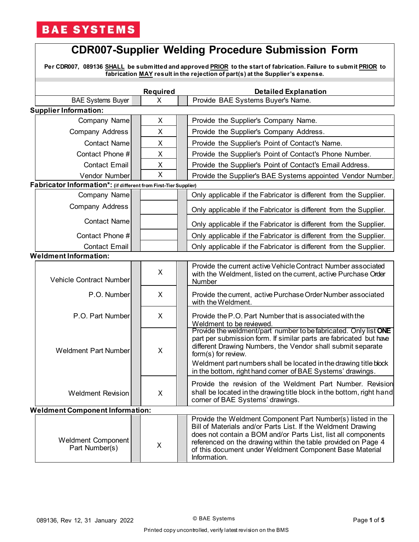# **BAE SYSTEMS**

# **CDR007-Supplier Welding Procedure Submission Form**

**Per CDR007, 089136 SHALL be submitted and approved PRIOR to the start of fabrication. Failure to submit PRIOR to fabrication MAY result in the rejection of part(s) at the Supplier's expense.**

|                              |                                                                  |  | <b>Required</b> |                                                         | <b>Detailed Explanation</b>                                                                                                                                                                                                                                                                                                                                     |  |  |
|------------------------------|------------------------------------------------------------------|--|-----------------|---------------------------------------------------------|-----------------------------------------------------------------------------------------------------------------------------------------------------------------------------------------------------------------------------------------------------------------------------------------------------------------------------------------------------------------|--|--|
|                              | <b>BAE Systems Buyer</b>                                         |  | X               |                                                         | Provide BAE Systems Buyer's Name.                                                                                                                                                                                                                                                                                                                               |  |  |
|                              | <b>Supplier Information:</b>                                     |  |                 |                                                         |                                                                                                                                                                                                                                                                                                                                                                 |  |  |
|                              | Company Name                                                     |  | X               |                                                         | Provide the Supplier's Company Name.                                                                                                                                                                                                                                                                                                                            |  |  |
|                              | Company Address                                                  |  | X               |                                                         | Provide the Supplier's Company Address.                                                                                                                                                                                                                                                                                                                         |  |  |
|                              | <b>Contact Name</b>                                              |  | X               |                                                         | Provide the Supplier's Point of Contact's Name.                                                                                                                                                                                                                                                                                                                 |  |  |
|                              | Contact Phone #                                                  |  | X               | Provide the Supplier's Point of Contact's Phone Number. |                                                                                                                                                                                                                                                                                                                                                                 |  |  |
|                              | <b>Contact Email</b>                                             |  | X               |                                                         | Provide the Supplier's Point of Contact's Email Address.                                                                                                                                                                                                                                                                                                        |  |  |
|                              | Vendor Number                                                    |  | X               |                                                         | Provide the Supplier's BAE Systems appointed Vendor Number.                                                                                                                                                                                                                                                                                                     |  |  |
|                              | Fabricator Information*: (if different from First-Tier Supplier) |  |                 |                                                         |                                                                                                                                                                                                                                                                                                                                                                 |  |  |
|                              | Company Name                                                     |  |                 |                                                         | Only applicable if the Fabricator is different from the Supplier.                                                                                                                                                                                                                                                                                               |  |  |
|                              | Company Address                                                  |  |                 |                                                         | Only applicable if the Fabricator is different from the Supplier.                                                                                                                                                                                                                                                                                               |  |  |
|                              | <b>Contact Name</b>                                              |  |                 |                                                         | Only applicable if the Fabricator is different from the Supplier.                                                                                                                                                                                                                                                                                               |  |  |
|                              | Contact Phone #                                                  |  |                 |                                                         | Only applicable if the Fabricator is different from the Supplier.                                                                                                                                                                                                                                                                                               |  |  |
|                              | <b>Contact Email</b>                                             |  |                 |                                                         | Only applicable if the Fabricator is different from the Supplier.                                                                                                                                                                                                                                                                                               |  |  |
| <b>Weldment Information:</b> |                                                                  |  |                 |                                                         |                                                                                                                                                                                                                                                                                                                                                                 |  |  |
|                              | Vehicle Contract Number                                          |  | X               |                                                         | Provide the current active Vehicle Contract Number associated<br>with the Weldment, listed on the current, active Purchase Order<br>Number                                                                                                                                                                                                                      |  |  |
|                              | P.O. Number                                                      |  | X               |                                                         | Provide the current, active Purchase Order Number associated<br>with the Weldment.                                                                                                                                                                                                                                                                              |  |  |
|                              | P.O. Part Number                                                 |  | X               |                                                         | Provide the P.O. Part Number that is associated with the<br>Weldment to be reviewed.                                                                                                                                                                                                                                                                            |  |  |
|                              | <b>Weldment Part Number</b>                                      |  | X               |                                                         | Provide the weldment/part number to be fabricated. Only list ONE<br>part per submission form. If similar parts are fabricated but have<br>different Drawing Numbers, the Vendor shall submit separate<br>form(s) for review.<br>Weldment part numbers shall be located in the drawing title block<br>in the bottom, right hand corner of BAE Systems' drawings. |  |  |
|                              | <b>Weldment Revision</b>                                         |  | X               |                                                         | Provide the revision of the Weldment Part Number. Revision<br>shall be located in the drawing title block in the bottom, right hand<br>corner of BAE Systems' drawings.                                                                                                                                                                                         |  |  |
|                              | <b>Weldment Component Information:</b>                           |  |                 |                                                         |                                                                                                                                                                                                                                                                                                                                                                 |  |  |
|                              | Weldment Component<br>Part Number(s)                             |  | X               |                                                         | Provide the Weldment Component Part Number(s) listed in the<br>Bill of Materials and/or Parts List. If the Weldment Drawing<br>does not contain a BOM and/or Parts List, list all components<br>referenced on the drawing within the table provided on Page 4<br>of this document under Weldment Component Base Material<br>Information.                        |  |  |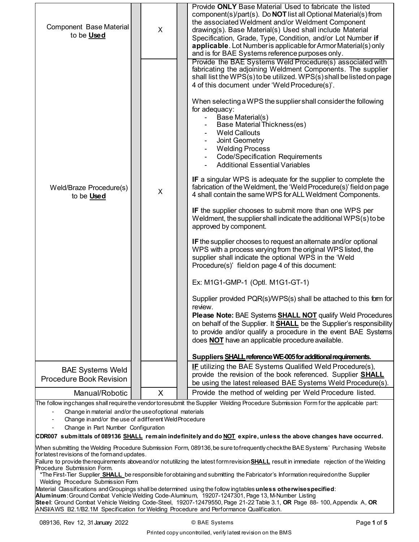| Component Base Material<br>to be <b>Used</b>                                                                                       | X | Provide ONLY Base Material Used to fabricate the listed<br>component(s)/part(s). Do <b>NOT</b> list all Optional Material(s) from<br>the associated Weldment and/or Weldment Component<br>drawing(s). Base Material(s) Used shall include Material<br>Specification, Grade, Type, Condition, and/or Lot Number if<br>applicable. Lot Number is applicable for Armor Material(s) only<br>and is for BAE Systems reference purposes only.                                                                                                                                                                                                                                                                                                                                                                                                                                                                                                                                                                                                                                                                                                                                                                                                                                                                                                                                                                                                                                                                                                                                                                               |  |  |
|------------------------------------------------------------------------------------------------------------------------------------|---|-----------------------------------------------------------------------------------------------------------------------------------------------------------------------------------------------------------------------------------------------------------------------------------------------------------------------------------------------------------------------------------------------------------------------------------------------------------------------------------------------------------------------------------------------------------------------------------------------------------------------------------------------------------------------------------------------------------------------------------------------------------------------------------------------------------------------------------------------------------------------------------------------------------------------------------------------------------------------------------------------------------------------------------------------------------------------------------------------------------------------------------------------------------------------------------------------------------------------------------------------------------------------------------------------------------------------------------------------------------------------------------------------------------------------------------------------------------------------------------------------------------------------------------------------------------------------------------------------------------------------|--|--|
| Weld/Braze Procedure(s)<br>to be Used                                                                                              | X | Provide the BAE Systems Weld Procedure(s) associated with<br>fabricating the adjoining Weldment Components. The supplier<br>shall list the WPS(s) to be utilized. WPS(s) shall be listed on page<br>4 of this document under 'Weld Procedure(s)'.<br>When selecting a WPS the supplier shall consider the following<br>for adequacy:<br>Base Material(s)<br>Base Material Thickness(es)<br><b>Weld Callouts</b><br>Joint Geometry<br><b>Welding Process</b><br><b>Code/Specification Requirements</b><br><b>Additional Essential Variables</b><br><b>IF</b> a singular WPS is adequate for the supplier to complete the<br>fabrication of the Weldment, the 'Weld Procedure(s)' field on page<br>4 shall contain the same WPS for ALL Weldment Components.<br>IF the supplier chooses to submit more than one WPS per<br>Weldment, the supplier shall indicate the additional WPS(s) to be<br>approved by component.<br>IF the supplier chooses to request an alternate and/or optional<br>WPS with a process varying from the original WPS listed, the<br>supplier shall indicate the optional WPS in the 'Weld<br>Procedure(s)' field on page 4 of this document:<br>Ex: M1G1-GMP-1 (Optl. M1G1-GT-1)<br>Supplier provided PQR(s)/WPS(s) shall be attached to this form for<br>review.<br>Please Note: BAE Systems SHALL NOT qualify Weld Procedures<br>on behalf of the Supplier. It SHALL be the Supplier's responsibility<br>to provide and/or qualify a procedure in the event BAE Systems<br>does NOT have an applicable procedure available.<br>Suppliers SHALL reference WE-005 for additional requirements. |  |  |
| <b>BAE Systems Weld</b><br><b>Procedure Book Revision</b>                                                                          |   | <b>IF</b> utilizing the BAE Systems Qualified Weld Procedure(s),<br>provide the revision of the book referenced. Supplier <b>SHALL</b>                                                                                                                                                                                                                                                                                                                                                                                                                                                                                                                                                                                                                                                                                                                                                                                                                                                                                                                                                                                                                                                                                                                                                                                                                                                                                                                                                                                                                                                                                |  |  |
|                                                                                                                                    |   | be using the latest released BAE Systems Weld Procedure(s).                                                                                                                                                                                                                                                                                                                                                                                                                                                                                                                                                                                                                                                                                                                                                                                                                                                                                                                                                                                                                                                                                                                                                                                                                                                                                                                                                                                                                                                                                                                                                           |  |  |
| Manual/Robotic                                                                                                                     | X | Provide the method of welding per Weld Procedure listed.                                                                                                                                                                                                                                                                                                                                                                                                                                                                                                                                                                                                                                                                                                                                                                                                                                                                                                                                                                                                                                                                                                                                                                                                                                                                                                                                                                                                                                                                                                                                                              |  |  |
| The follow ingchanges shall require the vendor to resubmit the Supplier Welding Procedure Submission Form for the applicable part: |   |                                                                                                                                                                                                                                                                                                                                                                                                                                                                                                                                                                                                                                                                                                                                                                                                                                                                                                                                                                                                                                                                                                                                                                                                                                                                                                                                                                                                                                                                                                                                                                                                                       |  |  |
| Change in material and/or the use of optional materials                                                                            |   |                                                                                                                                                                                                                                                                                                                                                                                                                                                                                                                                                                                                                                                                                                                                                                                                                                                                                                                                                                                                                                                                                                                                                                                                                                                                                                                                                                                                                                                                                                                                                                                                                       |  |  |

- Change inand/or the use of a different Weld Procedure
- Change in Part Number Configuration

**CDR007 submittals of 089136 SHALL remain indefinitely and do NOT expire, unless the above changes have occurred.**

When submitting the Welding Procedure Submission Form, 089136,be sure tofrequently checkthe BAE Systems' Purchasing Website for latest revisions of the formand updates.

Failure to provide therequirements aboveand/or notutilizing the latest formrevision**SHALL** result in immediate rejection of the Welding Procedure Submission Form.

\*The First-Tier Supplier **SHALL** be responsible forobtaining and submitting the Fabricator's Information requiredonthe Supplier Welding Procedure Submission Form.

Material Classifications andGroupings shall be determined using the follow ingtables**unless otherwisespecified**:

**Aluminum**: Ground Combat Vehicle Welding Code-Aluminum, 19207-1247301, Page 13, M-Number Listing **Steel**: Ground Combat Vehicle Welding Code-Steel, 19207-12479550, Page 21-22 Table 3.1, **OR** Page 88- 100, Appendix A, **OR**  ANSI/AWS B2.1/B2.1M Specification for Welding Procedure and Performance Qualification.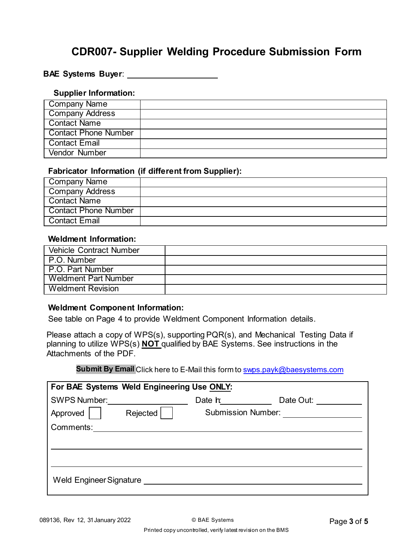# **CDR007- Supplier Welding Procedure Submission Form**

#### **BAE Systems Buyer**:

#### **Supplier Information:**

| Company Name           |  |
|------------------------|--|
| <b>Company Address</b> |  |
| Contact Name           |  |
| Contact Phone Number   |  |
| Contact Email          |  |
| <b>Vendor Number</b>   |  |

### **Fabricator Information (if different from Supplier):**

| Company Name           |  |
|------------------------|--|
| <b>Company Address</b> |  |
| Contact Name           |  |
| Contact Phone Number   |  |
| l Contact Email        |  |

## **Weldment Information:**

| <b>Vehicle Contract Number</b> |  |
|--------------------------------|--|
| P.O. Number                    |  |
| I P.O. Part Number             |  |
| <b>Weldment Part Number</b>    |  |
| <b>Weldment Revision</b>       |  |

### **Weldment Component Information:**

See table on Page 4 to provide Weldment Component Information details.

Please attach a copy of WPS(s), supporting PQR(s), and Mechanical Testing Data if planning to utilize WPS(s) **NOT** qualified by BAE Systems. See instructions in the Attachments of the PDF.

### **Submit By Email** Click here to E-Mail this form t[o swps.payk@baesystems.com](mailto:swps.payk@baesystems.com)

| For BAE Systems Weld Engineering Use ONLY: |                           |           |  |  |  |
|--------------------------------------------|---------------------------|-----------|--|--|--|
| <b>SWPS Number:</b>                        | Date h                    | Date Out: |  |  |  |
| Approved  <br>Rejected                     | <b>Submission Number:</b> |           |  |  |  |
| Comments:                                  |                           |           |  |  |  |
|                                            |                           |           |  |  |  |
|                                            |                           |           |  |  |  |
|                                            |                           |           |  |  |  |
| Weld Engineer Signature                    |                           |           |  |  |  |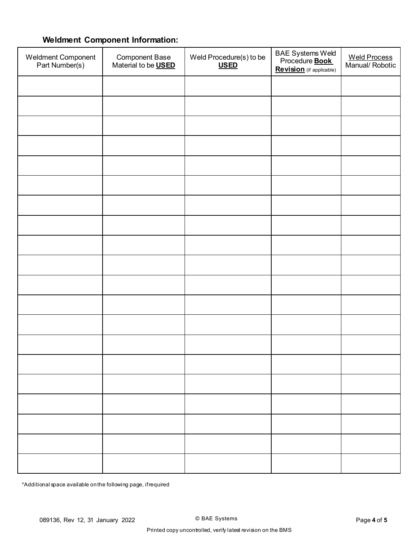# **Weldment Component Information:**

| Weldment Component<br>Part Number(s) | Component Base<br>Material to be <b>USED</b> | Weld Procedure(s) to be<br><b>USED</b> | BAE Systems Weld<br>Procedure <b>Book</b><br><b>Revision</b> (if applicable) | Weld Process<br>Manual/ Robotic |
|--------------------------------------|----------------------------------------------|----------------------------------------|------------------------------------------------------------------------------|---------------------------------|
|                                      |                                              |                                        |                                                                              |                                 |
|                                      |                                              |                                        |                                                                              |                                 |
|                                      |                                              |                                        |                                                                              |                                 |
|                                      |                                              |                                        |                                                                              |                                 |
|                                      |                                              |                                        |                                                                              |                                 |
|                                      |                                              |                                        |                                                                              |                                 |
|                                      |                                              |                                        |                                                                              |                                 |
|                                      |                                              |                                        |                                                                              |                                 |
|                                      |                                              |                                        |                                                                              |                                 |
|                                      |                                              |                                        |                                                                              |                                 |
|                                      |                                              |                                        |                                                                              |                                 |
|                                      |                                              |                                        |                                                                              |                                 |
|                                      |                                              |                                        |                                                                              |                                 |
|                                      |                                              |                                        |                                                                              |                                 |
|                                      |                                              |                                        |                                                                              |                                 |
|                                      |                                              |                                        |                                                                              |                                 |
|                                      |                                              |                                        |                                                                              |                                 |
|                                      |                                              |                                        |                                                                              |                                 |
|                                      |                                              |                                        |                                                                              |                                 |
|                                      |                                              |                                        |                                                                              |                                 |

\*Additional space available on the following page, if required